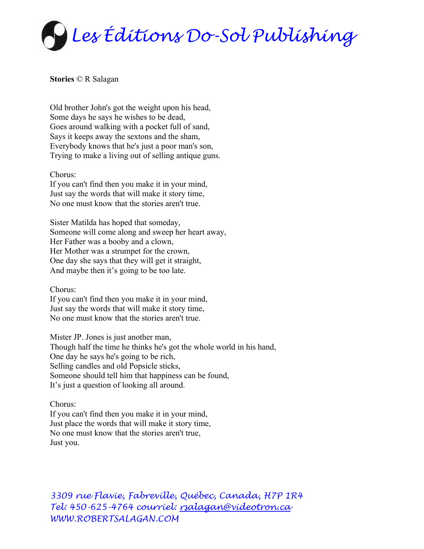

**Stories** © R Salagan

Old brother John's got the weight upon his head, Some days he says he wishes to be dead, Goes around walking with a pocket full of sand, Says it keeps away the sextons and the sham, Everybody knows that he's just a poor man's son, Trying to make a living out of selling antique guns.

## Chorus:

If you can't find then you make it in your mind, Just say the words that will make it story time, No one must know that the stories aren't true.

Sister Matilda has hoped that someday, Someone will come along and sweep her heart away, Her Father was a booby and a clown, Her Mother was a strumpet for the crown, One day she says that they will get it straight, And maybe then it's going to be too late.

Chorus:

If you can't find then you make it in your mind, Just say the words that will make it story time, No one must know that the stories aren't true.

Mister JP. Jones is just another man, Though half the time he thinks he's got the whole world in his hand, One day he says he's going to be rich, Selling candles and old Popsicle sticks, Someone should tell him that happiness can be found, It's just a question of looking all around.

## Chorus:

If you can't find then you make it in your mind, Just place the words that will make it story time, No one must know that the stories aren't true, Just you.

*3309 rue Flavie, Fabreville, Québec, Canada, H7P 1R4 Tel: 450-625-4764 courriel: [rsalagan@videotron.ca](mailto:rsalagan@videotron.ca)  WWW.ROBERTSALAGAN.COM*